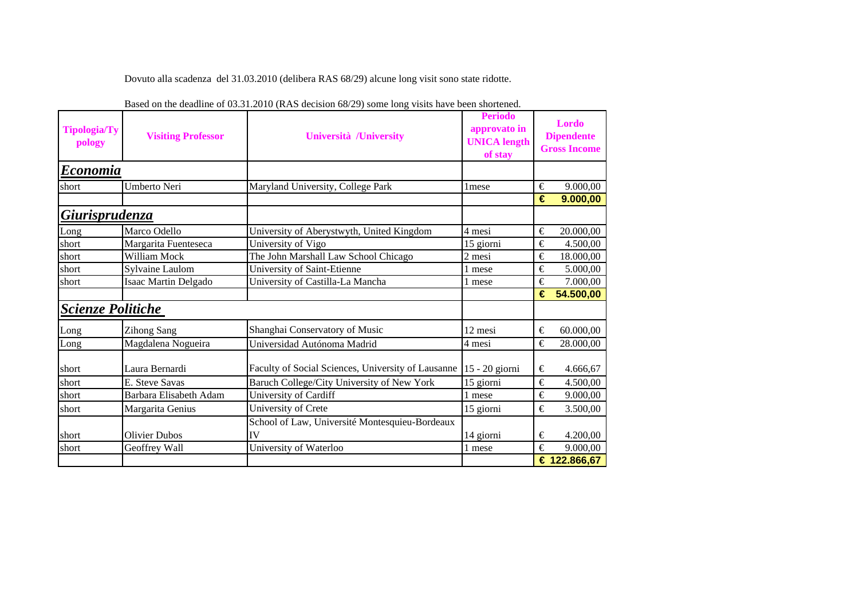Dovuto alla scadenza del 31.03.2010 (delibera RAS 68/29) alcune long visit sono state ridotte.

| <b>Tipologia/Ty</b><br>pology | <b>Visiting Professor</b> | Università /University                             | <b>Periodo</b><br>approvato in<br><b>UNICA</b> length<br>of stay |       | Lordo<br><b>Dipendente</b><br><b>Gross Income</b> |
|-------------------------------|---------------------------|----------------------------------------------------|------------------------------------------------------------------|-------|---------------------------------------------------|
| Economia                      |                           |                                                    |                                                                  |       |                                                   |
| short                         | Umberto Neri              | Maryland University, College Park                  | 1 mese                                                           | €     | 9.000,00                                          |
|                               |                           |                                                    |                                                                  | €     | 9.000,00                                          |
| Giurisprudenza                |                           |                                                    |                                                                  |       |                                                   |
| Long                          | Marco Odello              | University of Aberystwyth, United Kingdom          | 4 mesi                                                           | €     | 20.000,00                                         |
| short                         | Margarita Fuenteseca      | University of Vigo                                 | 15 giorni                                                        | €     | 4.500,00                                          |
| short                         | William Mock              | The John Marshall Law School Chicago               | 2 mesi                                                           | €     | 18.000,00                                         |
| short                         | Sylvaine Laulom           | University of Saint-Etienne                        | 1 mese                                                           | €     | 5.000,00                                          |
| short                         | Isaac Martin Delgado      | University of Castilla-La Mancha                   | 1 mese                                                           | €     | 7.000,00                                          |
|                               |                           |                                                    |                                                                  | €     | 54.500,00                                         |
| <b>Scienze Politiche</b>      |                           |                                                    |                                                                  |       |                                                   |
| Long                          | <b>Zihong Sang</b>        | Shanghai Conservatory of Music                     | 12 mesi                                                          | €     | 60.000,00                                         |
| Long                          | Magdalena Nogueira        | Universidad Autónoma Madrid                        | 4 mesi                                                           | €     | 28.000,00                                         |
| short                         | Laura Bernardi            | Faculty of Social Sciences, University of Lausanne | 15 - 20 giorni                                                   | €     | 4.666,67                                          |
| short                         | E. Steve Savas            | Baruch College/City University of New York         | 15 giorni                                                        | €     | 4.500,00                                          |
| short                         | Barbara Elisabeth Adam    | University of Cardiff                              | 1 mese                                                           | €     | 9.000,00                                          |
| short                         | Margarita Genius          | University of Crete                                | 15 giorni                                                        | €     | 3.500,00                                          |
|                               |                           | School of Law, Université Montesquieu-Bordeaux     |                                                                  |       |                                                   |
| short                         | <b>Olivier Dubos</b>      | IV                                                 | 14 giorni                                                        | $\in$ | 4.200,00                                          |
| short                         | Geoffrey Wall             | University of Waterloo                             | 1 mese                                                           | €     | 9.000,00                                          |
|                               |                           |                                                    |                                                                  |       | € 122.866,67                                      |

Based on the deadline of 03.31.2010 (RAS decision 68/29) some long visits have been shortened.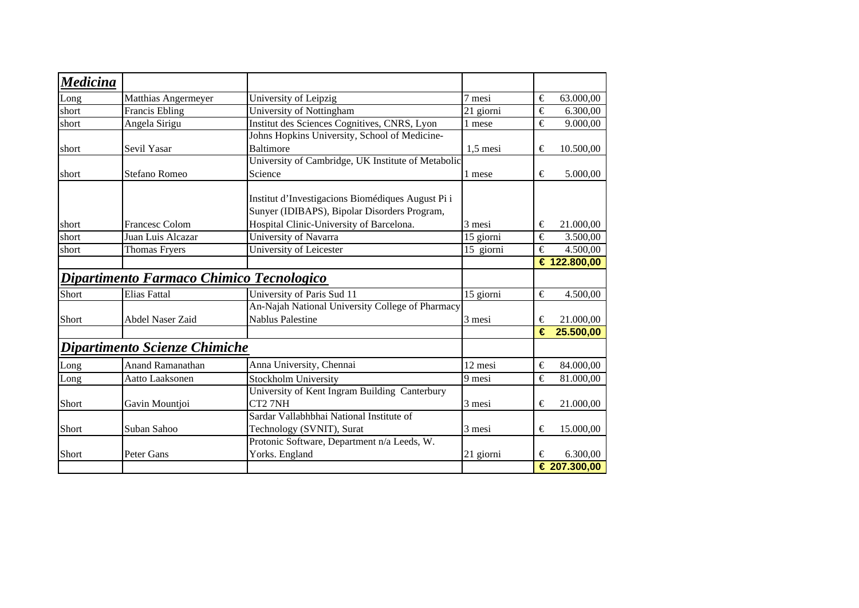| <b>Medicina</b> |                                          |                                                                                                   |            |                       |              |
|-----------------|------------------------------------------|---------------------------------------------------------------------------------------------------|------------|-----------------------|--------------|
| Long            | Matthias Angermeyer                      | University of Leipzig                                                                             | 7 mesi     | €                     | 63.000,00    |
| short           | <b>Francis Ebling</b>                    | University of Nottingham                                                                          | 21 giorni  | €                     | 6.300,00     |
| short           | Angela Sirigu                            | Institut des Sciences Cognitives, CNRS, Lyon                                                      | 1 mese     | €                     | 9.000,00     |
|                 |                                          | Johns Hopkins University, School of Medicine-                                                     |            |                       |              |
| short           | Sevil Yasar                              | <b>Baltimore</b>                                                                                  | $1,5$ mesi | €                     | 10.500,00    |
|                 |                                          | University of Cambridge, UK Institute of Metabolic                                                |            |                       |              |
| short           | Stefano Romeo                            | Science                                                                                           | 1 mese     | $\in$                 | 5.000,00     |
|                 |                                          | Institut d'Investigacions Biomédiques August Pi i<br>Sunyer (IDIBAPS), Bipolar Disorders Program, |            |                       |              |
| short           | Francesc Colom                           | Hospital Clinic-University of Barcelona.                                                          | 3 mesi     | €                     | 21.000,00    |
| short           | Juan Luis Alcazar                        | University of Navarra                                                                             | 15 giorni  | €                     | 3.500,00     |
| short           | <b>Thomas Fryers</b>                     | University of Leicester                                                                           | 15 giorni  | $\overline{\epsilon}$ | 4.500,00     |
|                 |                                          |                                                                                                   |            |                       | € 122.800,00 |
|                 | Dipartimento Farmaco Chimico Tecnologico |                                                                                                   |            |                       |              |
| Short           | <b>Elias Fattal</b>                      | University of Paris Sud 11                                                                        | 15 giorni  | €                     | 4.500,00     |
|                 |                                          | An-Najah National University College of Pharmacy                                                  |            |                       |              |
| Short           | Abdel Naser Zaid                         | <b>Nablus Palestine</b>                                                                           | 3 mesi     | €                     | 21.000,00    |
|                 |                                          |                                                                                                   |            | €                     | 25.500,00    |
|                 | Dipartimento Scienze Chimiche            |                                                                                                   |            |                       |              |
| Long            | <b>Anand Ramanathan</b>                  | Anna University, Chennai                                                                          | 12 mesi    | €                     | 84.000,00    |
| Long            | Aatto Laaksonen                          | <b>Stockholm University</b>                                                                       | 9 mesi     | €                     | 81.000,00    |
|                 |                                          | University of Kent Ingram Building Canterbury                                                     |            |                       |              |
| Short           | Gavin Mountjoi                           | CT2 7NH                                                                                           | 3 mesi     | €                     | 21.000,00    |
|                 |                                          | Sardar Vallabhbhai National Institute of                                                          |            |                       |              |
| Short           | Suban Sahoo                              | Technology (SVNIT), Surat                                                                         | 3 mesi     | €                     | 15.000,00    |
|                 |                                          | Protonic Software, Department n/a Leeds, W.                                                       |            |                       |              |
| Short           | Peter Gans                               | Yorks. England                                                                                    | 21 giorni  | €                     | 6.300,00     |
|                 |                                          |                                                                                                   |            |                       | € 207.300,00 |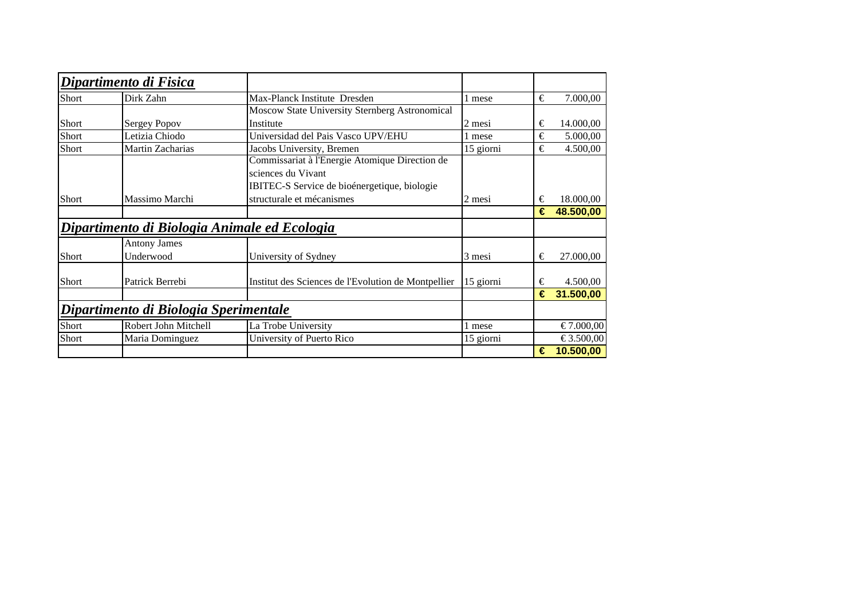|              | Dipartimento di Fisica                       |                                                     |           |   |           |
|--------------|----------------------------------------------|-----------------------------------------------------|-----------|---|-----------|
| Short        | Dirk Zahn                                    | Max-Planck Institute Dresden                        | mese      | € | 7.000,00  |
|              |                                              | Moscow State University Sternberg Astronomical      |           |   |           |
| Short        | <b>Sergey Popov</b>                          | Institute                                           | 2 mesi    | € | 14.000,00 |
| Short        | Letizia Chiodo                               | Universidad del Pais Vasco UPV/EHU                  | l mese    | € | 5.000,00  |
| Short        | Martin Zacharias                             | Jacobs University, Bremen                           | 15 giorni | € | 4.500,00  |
|              |                                              | Commissariat à l'Energie Atomique Direction de      |           |   |           |
|              |                                              | sciences du Vivant                                  |           |   |           |
|              |                                              | IBITEC-S Service de bioénergetique, biologie        |           |   |           |
| Short        | Massimo Marchi                               | structurale et mécanismes                           | 2 mesi    | € | 18.000,00 |
|              |                                              |                                                     |           | € | 48.500,00 |
|              | Dipartimento di Biologia Animale ed Ecologia |                                                     |           |   |           |
|              | <b>Antony James</b>                          |                                                     |           |   |           |
| <b>Short</b> | Underwood                                    | University of Sydney                                | 3 mesi    | € | 27.000,00 |
|              |                                              |                                                     |           |   |           |
| Short        | Patrick Berrebi                              | Institut des Sciences de l'Evolution de Montpellier | 15 giorni | € | 4.500,00  |
|              |                                              |                                                     |           | € | 31.500,00 |
|              | Dipartimento di Biologia Sperimentale        |                                                     |           |   |           |
| Short        | Robert John Mitchell                         | La Trobe University                                 | mese      |   | €7.000,00 |
| Short        | Maria Dominguez                              | University of Puerto Rico                           | 15 giorni |   | €3.500,00 |
|              |                                              |                                                     |           | € | 10.500,00 |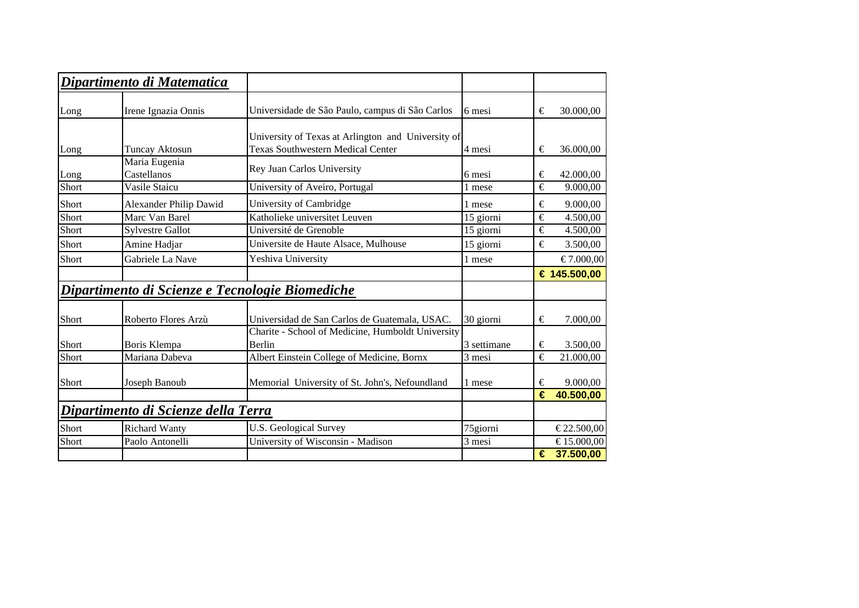|              | Dipartimento di Matematica                      |                                                                        |                  |        |                        |
|--------------|-------------------------------------------------|------------------------------------------------------------------------|------------------|--------|------------------------|
| Long         | Irene Ignazia Onnis                             | Universidade de São Paulo, campus di São Carlos                        | 6 mesi           | €      | 30.000,00              |
|              |                                                 | University of Texas at Arlington and University of                     |                  |        |                        |
| Long<br>Long | Tuncay Aktosun<br>Maria Eugenia<br>Castellanos  | <b>Texas Southwestern Medical Center</b><br>Rey Juan Carlos University | 4 mesi<br>6 mesi | €<br>€ | 36.000,00<br>42.000,00 |
| Short        | Vasile Staicu                                   | University of Aveiro, Portugal                                         | 1 mese           | €      | 9.000,00               |
| Short        | Alexander Philip Dawid                          | University of Cambridge                                                | 1 mese           | €      | 9.000,00               |
| Short        | Marc Van Barel                                  | Katholieke universitet Leuven                                          | 15 giorni        | €      | 4.500,00               |
| Short        | <b>Sylvestre Gallot</b>                         | Université de Grenoble                                                 | 15 giorni        | €      | 4.500,00               |
| Short        | Amine Hadjar                                    | Universite de Haute Alsace, Mulhouse                                   | 15 giorni        | €      | 3.500,00               |
| Short        | Gabriele La Nave                                | Yeshiva University                                                     | 1 mese           |        | €7.000,00              |
|              |                                                 |                                                                        |                  |        | € 145.500,00           |
|              | Dipartimento di Scienze e Tecnologie Biomediche |                                                                        |                  |        |                        |
| Short        | Roberto Flores Arzù                             | Universidad de San Carlos de Guatemala, USAC.                          | 30 giorni        | €      | 7.000,00               |
| Short        | Boris Klempa                                    | Charite - School of Medicine, Humboldt University<br>Berlin            | 3 settimane      | €      | 3.500,00               |
| Short        | Mariana Dabeva                                  | Albert Einstein College of Medicine, Bornx                             | 3 mesi           | €      | 21.000,00              |
| Short        | Joseph Banoub                                   | Memorial University of St. John's, Nefoundland                         | 1 mese           | €      | 9.000,00               |
|              |                                                 |                                                                        |                  | €      | 40.500,00              |
|              | Dipartimento di Scienze della Terra             |                                                                        |                  |        |                        |
| Short        | <b>Richard Wanty</b>                            | <b>U.S. Geological Survey</b>                                          | 75giorni         |        | €22.500,00             |
| Short        | Paolo Antonelli                                 | University of Wisconsin - Madison                                      | 3 mesi           |        | €15.000,00             |
|              |                                                 |                                                                        |                  |        |                        |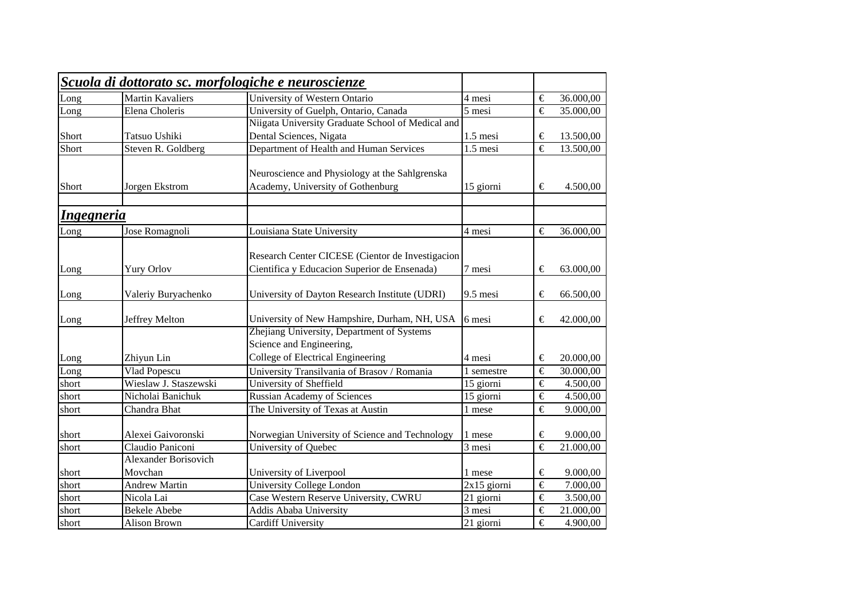|                   |                         | Scuola di dottorato sc. morfologiche e neuroscienze           |                           |                       |                       |
|-------------------|-------------------------|---------------------------------------------------------------|---------------------------|-----------------------|-----------------------|
| Long              | <b>Martin Kavaliers</b> | University of Western Ontario                                 | 4 mesi                    | €                     | 36.000,00             |
| Long              | Elena Choleris          | University of Guelph, Ontario, Canada                         | 5 mesi                    | €                     | 35.000,00             |
|                   |                         | Niigata University Graduate School of Medical and             |                           |                       |                       |
| Short             | Tatsuo Ushiki           | Dental Sciences, Nigata                                       | 1.5 mesi                  | €                     | 13.500,00             |
| Short             | Steven R. Goldberg      | Department of Health and Human Services                       | 1.5 mesi                  | €                     | 13.500,00             |
|                   |                         | Neuroscience and Physiology at the Sahlgrenska                |                           |                       |                       |
| Short             | Jorgen Ekstrom          | Academy, University of Gothenburg                             | 15 giorni                 | €                     | 4.500,00              |
| <b>Ingegneria</b> |                         |                                                               |                           |                       |                       |
| Long              | Jose Romagnoli          | Louisiana State University                                    | 4 mesi                    | €                     | 36.000,00             |
|                   |                         | Research Center CICESE (Cientor de Investigacion              |                           |                       |                       |
| Long              | <b>Yury Orlov</b>       | Cientifica y Educacion Superior de Ensenada)                  | 7 mesi                    | €                     | 63.000,00             |
| Long              | Valeriy Buryachenko     | University of Dayton Research Institute (UDRI)                | 9.5 mesi                  | €                     | 66.500,00             |
| Long              | Jeffrey Melton          | University of New Hampshire, Durham, NH, USA                  | 6 mesi                    | €                     | 42.000,00             |
|                   |                         | Zhejiang University, Department of Systems                    |                           |                       |                       |
| Long              | Zhiyun Lin              | Science and Engineering,<br>College of Electrical Engineering | 4 mesi                    | €                     | 20.000,00             |
| Long              | Vlad Popescu            | University Transilvania of Brasov / Romania                   | 1 semestre                | €                     | 30.000,00             |
| short             | Wieslaw J. Staszewski   | <b>University of Sheffield</b>                                | 15 giorni                 | $\in$                 | 4.500,00              |
| short             | Nicholai Banichuk       | Russian Academy of Sciences                                   | 15 giorni                 | €                     | 4.500,00              |
| short             | Chandra Bhat            | The University of Texas at Austin                             | 1 mese                    | $\overline{\epsilon}$ | 9.000,00              |
| short             | Alexei Gaivoronski      | Norwegian University of Science and Technology                | 1 mese                    | €                     | 9.000,00              |
| short             | Claudio Paniconi        | University of Quebec                                          | $\overline{3}$ mesi       | €                     | 21.000,00             |
|                   | Alexander Borisovich    |                                                               |                           |                       |                       |
| short             | Movchan                 | University of Liverpool                                       | 1 mese                    | €                     | 9.000,00              |
| short             | <b>Andrew Martin</b>    | University College London                                     | $\overline{2x}$ 15 giorni | €                     | 7.000,00              |
| short             | Nicola Lai              | Case Western Reserve University, CWRU                         | 21 giorni                 | €                     | 3.500,00              |
| short             | <b>Bekele Abebe</b>     | Addis Ababa University                                        | $\overline{3}$ mesi       | €                     | 21.000,00             |
| short             | Alison Brown            | <b>Cardiff University</b>                                     | 21 giorni                 | $\overline{\epsilon}$ | $\overline{4.900,00}$ |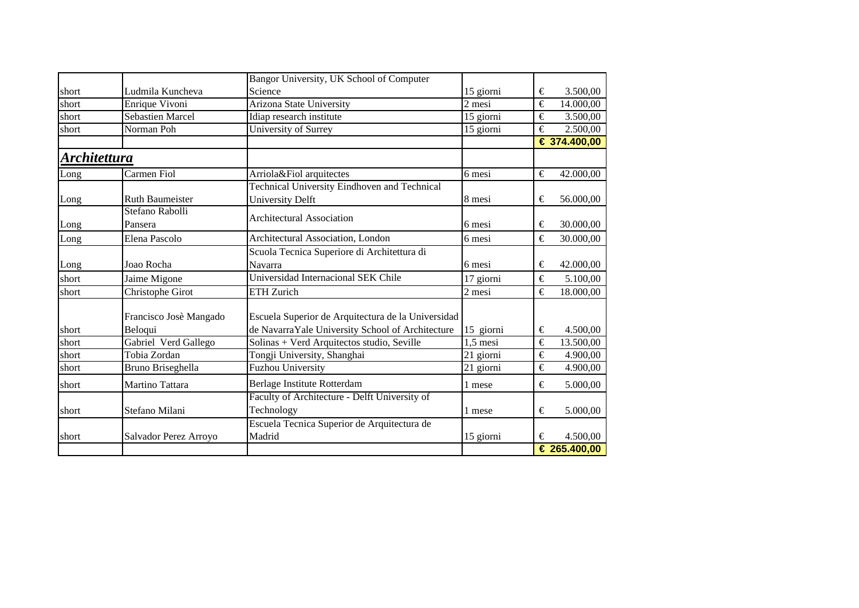|                     |                         | Bangor University, UK School of Computer           |                     |                       |
|---------------------|-------------------------|----------------------------------------------------|---------------------|-----------------------|
| short               | Ludmila Kuncheva        | Science                                            | 15 giorni           | 3.500,00<br>€         |
| short               | Enrique Vivoni          | Arizona State University                           | $\overline{2}$ mesi | €<br>14.000,00        |
| short               | <b>Sebastien Marcel</b> | Idiap research institute                           | 15 giorni           | €<br>3.500,00         |
| short               | Norman Poh              | University of Surrey                               | 15 giorni           | €<br>2.500,00         |
|                     |                         |                                                    |                     | € 374.400,00          |
| <u>Architettura</u> |                         |                                                    |                     |                       |
| Long                | Carmen Fiol             | Arriola&Fiol arquitectes                           | 6 mesi              | €<br>42.000,00        |
|                     |                         | Technical University Eindhoven and Technical       |                     |                       |
| Long                | <b>Ruth Baumeister</b>  | <b>University Delft</b>                            | 8 mesi              | €<br>56.000,00        |
|                     | Stefano Rabolli         | <b>Architectural Association</b>                   |                     |                       |
| Long                | Pansera                 |                                                    | 6 mesi              | 30.000,00<br>€        |
| Long                | Elena Pascolo           | Architectural Association, London                  | 6 mesi              | €<br>30.000,00        |
|                     |                         | Scuola Tecnica Superiore di Architettura di        |                     |                       |
| Long                | Joao Rocha              | Navarra                                            | 6 mesi              | 42.000,00<br>€        |
| short               | Jaime Migone            | Universidad Internacional SEK Chile                | 17 giorni           | €<br>5.100,00         |
| short               | Christophe Girot        | ETH Zurich                                         | 2 mesi              | €<br>18.000,00        |
|                     | Francisco Josè Mangado  | Escuela Superior de Arquitectura de la Universidad |                     |                       |
| short               | Beloqui                 | de NavarraYale University School of Architecture   | 15 giorni           | €<br>4.500,00         |
| short               | Gabriel Verd Gallego    | Solinas + Verd Arquitectos studio, Seville         | $1,5$ mesi          | €<br>13.500,00        |
| short               | Tobia Zordan            | Tongji University, Shanghai                        | 21 giorni           | €<br>4.900,00         |
| short               | Bruno Briseghella       | <b>Fuzhou University</b>                           | 21 giorni           | €<br>4.900,00         |
| short               | Martino Tattara         | Berlage Institute Rotterdam                        | 1 mese              | €<br>5.000,00         |
|                     |                         | Faculty of Architecture - Delft University of      |                     |                       |
| short               | Stefano Milani          | Technology                                         | 1 mese              | €<br>5.000,00         |
|                     |                         | Escuela Tecnica Superior de Arquitectura de        |                     |                       |
| short               | Salvador Perez Arroyo   | Madrid                                             | 15 giorni           | 4.500,00<br>€         |
|                     |                         |                                                    |                     | $\sqrt{6}$ 265.400,00 |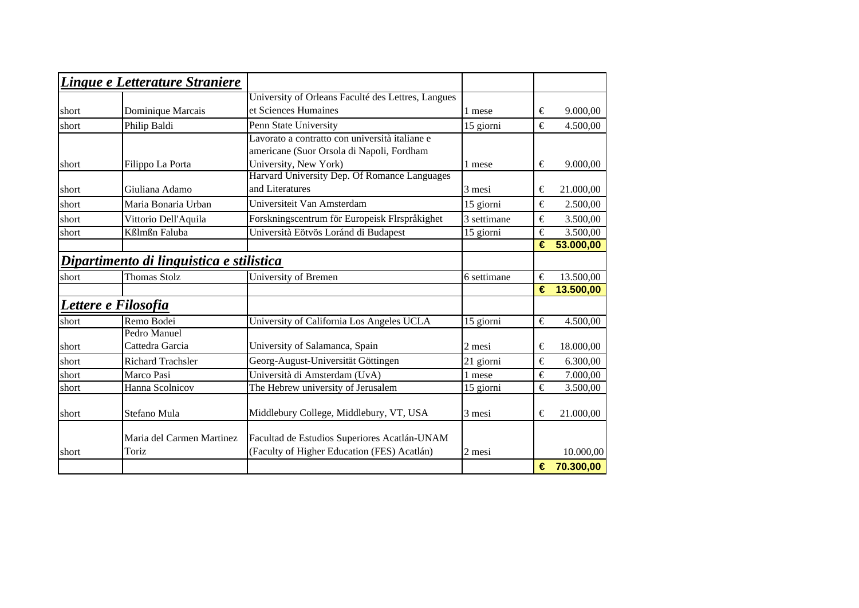|       | Lingue e Letterature Straniere           |                                                    |             |   |             |
|-------|------------------------------------------|----------------------------------------------------|-------------|---|-------------|
|       |                                          | University of Orleans Faculté des Lettres, Langues |             |   |             |
| short | Dominique Marcais                        | et Sciences Humaines                               | 1 mese      | € | 9.000,00    |
| short | Philip Baldi                             | Penn State University                              | 15 giorni   | € | 4.500,00    |
|       |                                          | Lavorato a contratto con università italiane e     |             |   |             |
|       |                                          | americane (Suor Orsola di Napoli, Fordham          |             |   |             |
| short | Filippo La Porta                         | University, New York)                              | 1 mese      | € | 9.000,00    |
|       |                                          | Harvard University Dep. Of Romance Languages       |             |   |             |
| short | Giuliana Adamo                           | and Literatures                                    | 3 mesi      | € | 21.000,00   |
| short | Maria Bonaria Urban                      | Universiteit Van Amsterdam                         | 15 giorni   | € | 2.500,00    |
| short | Vittorio Dell'Aquila                     | Forskningscentrum för Europeisk Flrspråkighet      | 3 settimane | € | 3.500,00    |
| short | Kßlmßn Faluba                            | Università Eötvös Loránd di Budapest               | 15 giorni   | € | 3.500,00    |
|       |                                          |                                                    |             | € | 53.000,00   |
|       | Dipartimento di linguistica e stilistica |                                                    |             |   |             |
| short | <b>Thomas Stolz</b>                      | University of Bremen                               | 6 settimane | € | 13.500,00   |
|       |                                          |                                                    |             | € | 13.500,00   |
|       | Lettere e Filosofia                      |                                                    |             |   |             |
| short | Remo Bodei                               | University of California Los Angeles UCLA          | 15 giorni   | € | 4.500,00    |
|       | Pedro Manuel                             |                                                    |             |   |             |
| short | Cattedra Garcia                          | University of Salamanca, Spain                     | 2 mesi      | € | 18.000,00   |
| short | <b>Richard Trachsler</b>                 | Georg-August-Universität Göttingen                 | 21 giorni   | € | 6.300,00    |
| short | Marco Pasi                               | Università di Amsterdam (UvA)                      | 1 mese      | € | 7.000,00    |
| short | Hanna Scolnicov                          | The Hebrew university of Jerusalem                 | 15 giorni   | € | 3.500,00    |
|       |                                          |                                                    |             |   |             |
| short | Stefano Mula                             | Middlebury College, Middlebury, VT, USA            | 3 mesi      | € | 21.000,00   |
|       | Maria del Carmen Martinez                | Facultad de Estudios Superiores Acatlán-UNAM       |             |   |             |
| short | Toriz                                    | (Faculty of Higher Education (FES) Acatlán)        | 2 mesi      |   | 10.000,00   |
|       |                                          |                                                    |             |   |             |
|       |                                          |                                                    |             |   | € 70.300,00 |